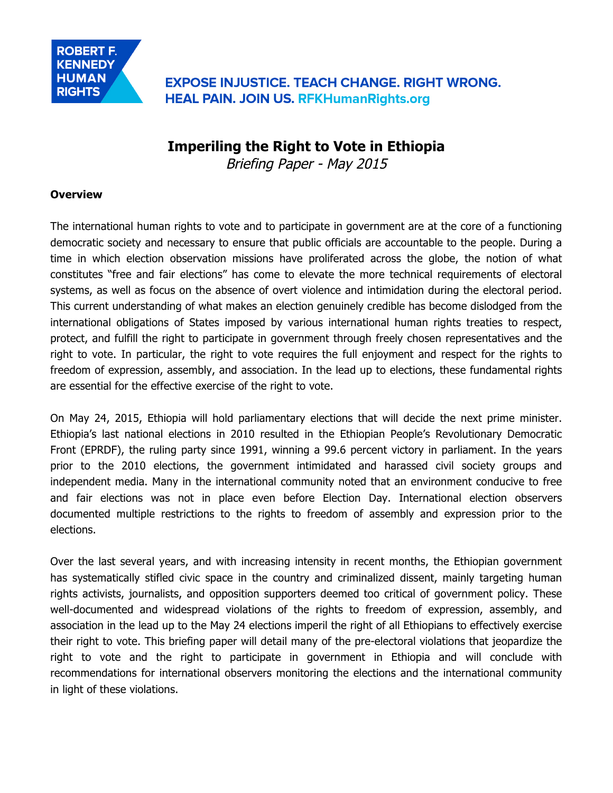**EXPOSE INJUSTICE. TEACH CHANGE. RIGHT WRONG. HEAL PAIN. JOIN US. RFKHumanRights.org** 

# **Imperiling the Right to Vote in Ethiopia**

Briefing Paper - May 2015

#### **Overview**

The international human rights to vote and to participate in government are at the core of a functioning democratic society and necessary to ensure that public officials are accountable to the people. During a time in which election observation missions have proliferated across the globe, the notion of what constitutes "free and fair elections" has come to elevate the more technical requirements of electoral systems, as well as focus on the absence of overt violence and intimidation during the electoral period. This current understanding of what makes an election genuinely credible has become dislodged from the international obligations of States imposed by various international human rights treaties to respect, protect, and fulfill the right to participate in government through freely chosen representatives and the right to vote. In particular, the right to vote requires the full enjoyment and respect for the rights to freedom of expression, assembly, and association. In the lead up to elections, these fundamental rights are essential for the effective exercise of the right to vote.

On May 24, 2015, Ethiopia will hold parliamentary elections that will decide the next prime minister. Ethiopia's last national elections in 2010 resulted in the Ethiopian People's Revolutionary Democratic Front (EPRDF), the ruling party since 1991, winning a 99.6 percent victory in parliament. In the years prior to the 2010 elections, the government intimidated and harassed civil society groups and independent media. Many in the international community noted that an environment conducive to free and fair elections was not in place even before Election Day. International election observers documented multiple restrictions to the rights to freedom of assembly and expression prior to the elections.

Over the last several years, and with increasing intensity in recent months, the Ethiopian government has systematically stifled civic space in the country and criminalized dissent, mainly targeting human rights activists, journalists, and opposition supporters deemed too critical of government policy. These well-documented and widespread violations of the rights to freedom of expression, assembly, and association in the lead up to the May 24 elections imperil the right of all Ethiopians to effectively exercise their right to vote. This briefing paper will detail many of the pre-electoral violations that jeopardize the right to vote and the right to participate in government in Ethiopia and will conclude with recommendations for international observers monitoring the elections and the international community in light of these violations.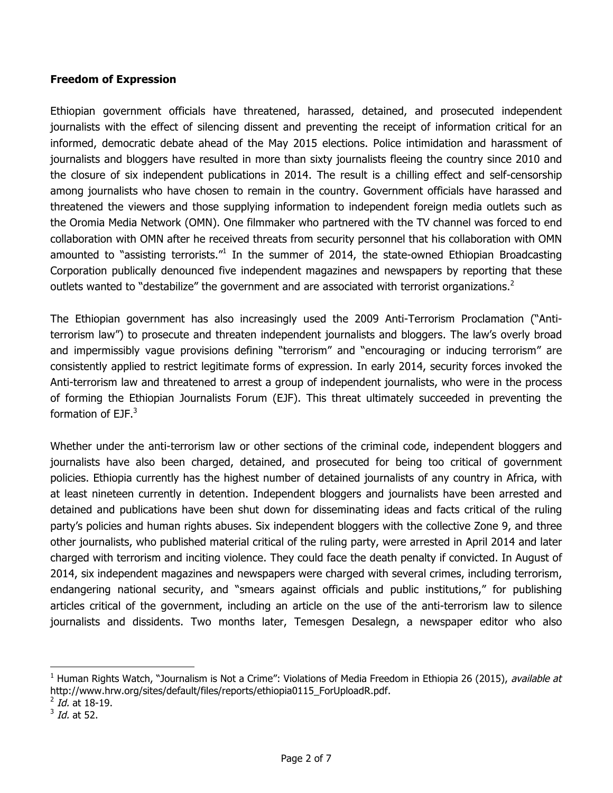#### **Freedom of Expression**

Ethiopian government officials have threatened, harassed, detained, and prosecuted independent journalists with the effect of silencing dissent and preventing the receipt of information critical for an informed, democratic debate ahead of the May 2015 elections. Police intimidation and harassment of journalists and bloggers have resulted in more than sixty journalists fleeing the country since 2010 and the closure of six independent publications in 2014. The result is a chilling effect and self-censorship among journalists who have chosen to remain in the country. Government officials have harassed and threatened the viewers and those supplying information to independent foreign media outlets such as the Oromia Media Network (OMN). One filmmaker who partnered with the TV channel was forced to end collaboration with OMN after he received threats from security personnel that his collaboration with OMN amounted to "assisting terrorists."<sup>1</sup> In the summer of 2014, the state-owned Ethiopian Broadcasting Corporation publically denounced five independent magazines and newspapers by reporting that these outlets wanted to "destabilize" the government and are associated with terrorist organizations.<sup>2</sup>

The Ethiopian government has also increasingly used the 2009 Anti-Terrorism Proclamation ("Antiterrorism law") to prosecute and threaten independent journalists and bloggers. The law's overly broad and impermissibly vague provisions defining "terrorism" and "encouraging or inducing terrorism" are consistently applied to restrict legitimate forms of expression. In early 2014, security forces invoked the Anti-terrorism law and threatened to arrest a group of independent journalists, who were in the process of forming the Ethiopian Journalists Forum (EJF). This threat ultimately succeeded in preventing the formation of EJF.<sup>3</sup>

Whether under the anti-terrorism law or other sections of the criminal code, independent bloggers and journalists have also been charged, detained, and prosecuted for being too critical of government policies. Ethiopia currently has the highest number of detained journalists of any country in Africa, with at least nineteen currently in detention. Independent bloggers and journalists have been arrested and detained and publications have been shut down for disseminating ideas and facts critical of the ruling party's policies and human rights abuses. Six independent bloggers with the collective Zone 9, and three other journalists, who published material critical of the ruling party, were arrested in April 2014 and later charged with terrorism and inciting violence. They could face the death penalty if convicted. In August of 2014, six independent magazines and newspapers were charged with several crimes, including terrorism, endangering national security, and "smears against officials and public institutions," for publishing articles critical of the government, including an article on the use of the anti-terrorism law to silence journalists and dissidents. Two months later, Temesgen Desalegn, a newspaper editor who also

 $\overline{a}$ 

<sup>&</sup>lt;sup>1</sup> Human Rights Watch, "Journalism is Not a Crime": Violations of Media Freedom in Ethiopia 26 (2015), *available at* http://www.hrw.org/sites/default/files/reports/ethiopia0115\_ForUploadR.pdf.

 $^{2}$  *Id.* at 18-19.

 $3$  *Id.* at 52.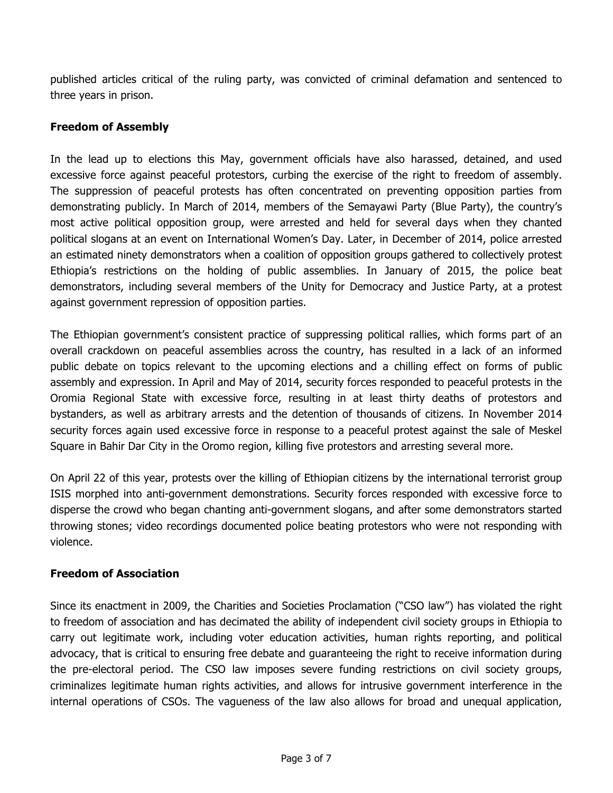published articles critical of the ruling party, was convicted of criminal defamation and sentenced to three years in prison.

## **Freedom of Assembly**

In the lead up to elections this May, government officials have also harassed, detained, and used excessive force against peaceful protestors, curbing the exercise of the right to freedom of assembly. The suppression of peaceful protests has often concentrated on preventing opposition parties from demonstrating publicly. In March of 2014, members of the Semayawi Party (Blue Party), the country's most active political opposition group, were arrested and held for several days when they chanted political slogans at an event on International Women's Day. Later, in December of 2014, police arrested an estimated ninety demonstrators when a coalition of opposition groups gathered to collectively protest Ethiopia's restrictions on the holding of public assemblies. In January of 2015, the police beat demonstrators, including several members of the Unity for Democracy and Justice Party, at a protest against government repression of opposition parties.

The Ethiopian government's consistent practice of suppressing political rallies, which forms part of an overall crackdown on peaceful assemblies across the country, has resulted in a lack of an informed public debate on topics relevant to the upcoming elections and a chilling effect on forms of public assembly and expression. In April and May of 2014, security forces responded to peaceful protests in the Oromia Regional State with excessive force, resulting in at least thirty deaths of protestors and bystanders, as well as arbitrary arrests and the detention of thousands of citizens. In November 2014 security forces again used excessive force in response to a peaceful protest against the sale of Meskel Square in Bahir Dar City in the Oromo region, killing five protestors and arresting several more.

On April 22 of this year, protests over the killing of Ethiopian citizens by the international terrorist group ISIS morphed into anti-government demonstrations. Security forces responded with excessive force to disperse the crowd who began chanting anti-government slogans, and after some demonstrators started throwing stones; video recordings documented police beating protestors who were not responding with violence.

## **Freedom of Association**

Since its enactment in 2009, the Charities and Societies Proclamation ("CSO law") has violated the right to freedom of association and has decimated the ability of independent civil society groups in Ethiopia to carry out legitimate work, including voter education activities, human rights reporting, and political advocacy, that is critical to ensuring free debate and guaranteeing the right to receive information during the pre-electoral period. The CSO law imposes severe funding restrictions on civil society groups, criminalizes legitimate human rights activities, and allows for intrusive government interference in the internal operations of CSOs. The vagueness of the law also allows for broad and unequal application,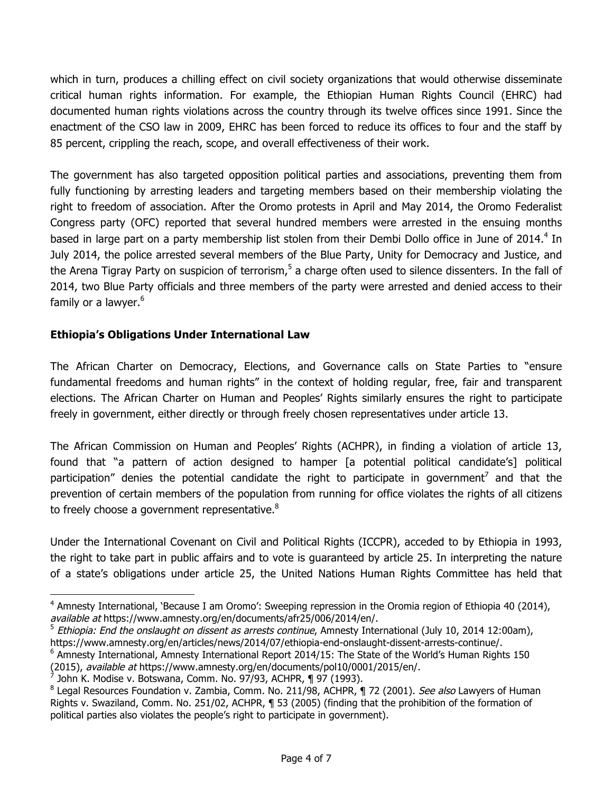which in turn, produces a chilling effect on civil society organizations that would otherwise disseminate critical human rights information. For example, the Ethiopian Human Rights Council (EHRC) had documented human rights violations across the country through its twelve offices since 1991. Since the enactment of the CSO law in 2009, EHRC has been forced to reduce its offices to four and the staff by 85 percent, crippling the reach, scope, and overall effectiveness of their work.

The government has also targeted opposition political parties and associations, preventing them from fully functioning by arresting leaders and targeting members based on their membership violating the right to freedom of association. After the Oromo protests in April and May 2014, the Oromo Federalist Congress party (OFC) reported that several hundred members were arrested in the ensuing months based in large part on a party membership list stolen from their Dembi Dollo office in June of 2014.<sup>4</sup> In July 2014, the police arrested several members of the Blue Party, Unity for Democracy and Justice, and the Arena Tigray Party on suspicion of terrorism,<sup>5</sup> a charge often used to silence dissenters. In the fall of 2014, two Blue Party officials and three members of the party were arrested and denied access to their family or a lawyer.<sup>6</sup>

## **Ethiopia's Obligations Under International Law**

The African Charter on Democracy, Elections, and Governance calls on State Parties to "ensure fundamental freedoms and human rights" in the context of holding regular, free, fair and transparent elections. The African Charter on Human and Peoples' Rights similarly ensures the right to participate freely in government, either directly or through freely chosen representatives under article 13.

The African Commission on Human and Peoples' Rights (ACHPR), in finding a violation of article 13, found that "a pattern of action designed to hamper [a potential political candidate's] political participation" denies the potential candidate the right to participate in government<sup>7</sup> and that the prevention of certain members of the population from running for office violates the rights of all citizens to freely choose a government representative. $8$ 

Under the International Covenant on Civil and Political Rights (ICCPR), acceded to by Ethiopia in 1993, the right to take part in public affairs and to vote is guaranteed by article 25. In interpreting the nature of a state's obligations under article 25, the United Nations Human Rights Committee has held that

 $\overline{a}$ 

<sup>&</sup>lt;sup>4</sup> Amnesty International, 'Because I am Oromo': Sweeping repression in the Oromia region of Ethiopia 40 (2014), available at https://www.amnesty.org/en/documents/afr25/006/2014/en/.

 $<sup>5</sup>$  Ethiopia: End the onslaught on dissent as arrests continue, Amnesty International (July 10, 2014 12:00am),</sup> https://www.amnesty.org/en/articles/news/2014/07/ethiopia-end-onslaught-dissent-arrests-continue/.

 $<sup>6</sup>$  Amnesty International, Amnesty International Report 2014/15: The State of the World's Human Rights 150</sup> (2015), available at https://www.amnesty.org/en/documents/pol10/0001/2015/en/.

<sup>7</sup> John K. Modise v. Botswana, Comm. No. 97/93, ACHPR, ¶ 97 (1993).

<sup>&</sup>lt;sup>8</sup> Legal Resources Foundation v. Zambia, Comm. No. 211/98, ACHPR, 172 (2001). See also Lawyers of Human Rights v. Swaziland, Comm. No. 251/02, ACHPR, ¶ 53 (2005) (finding that the prohibition of the formation of political parties also violates the people's right to participate in government).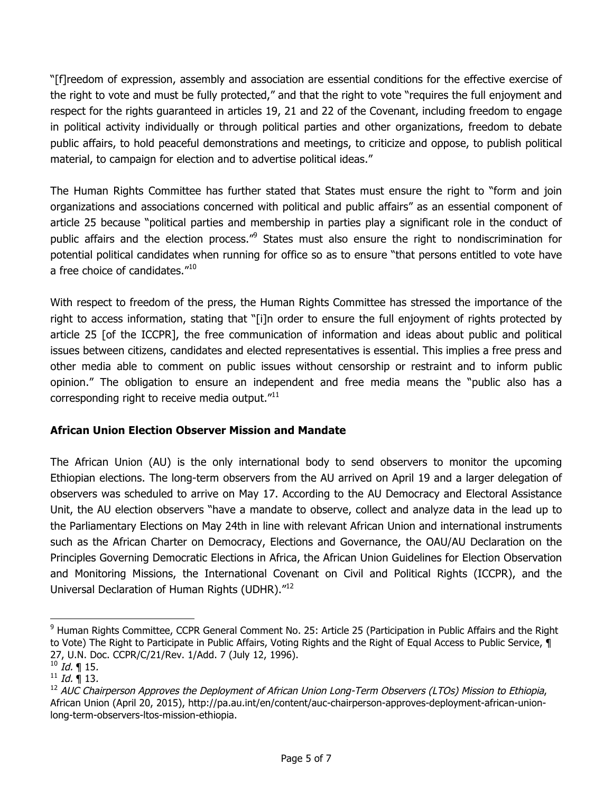"[f]reedom of expression, assembly and association are essential conditions for the effective exercise of the right to vote and must be fully protected," and that the right to vote "requires the full enjoyment and respect for the rights guaranteed in articles 19, 21 and 22 of the Covenant, including freedom to engage in political activity individually or through political parties and other organizations, freedom to debate public affairs, to hold peaceful demonstrations and meetings, to criticize and oppose, to publish political material, to campaign for election and to advertise political ideas."

The Human Rights Committee has further stated that States must ensure the right to "form and join organizations and associations concerned with political and public affairs" as an essential component of article 25 because "political parties and membership in parties play a significant role in the conduct of public affairs and the election process.<sup>"9</sup> States must also ensure the right to nondiscrimination for potential political candidates when running for office so as to ensure "that persons entitled to vote have a free choice of candidates."<sup>10</sup>

With respect to freedom of the press, the Human Rights Committee has stressed the importance of the right to access information, stating that "[i]n order to ensure the full enjoyment of rights protected by article 25 [of the ICCPR], the free communication of information and ideas about public and political issues between citizens, candidates and elected representatives is essential. This implies a free press and other media able to comment on public issues without censorship or restraint and to inform public opinion." The obligation to ensure an independent and free media means the "public also has a corresponding right to receive media output."<sup>11</sup>

## **African Union Election Observer Mission and Mandate**

The African Union (AU) is the only international body to send observers to monitor the upcoming Ethiopian elections. The long-term observers from the AU arrived on April 19 and a larger delegation of observers was scheduled to arrive on May 17. According to the AU Democracy and Electoral Assistance Unit, the AU election observers "have a mandate to observe, collect and analyze data in the lead up to the Parliamentary Elections on May 24th in line with relevant African Union and international instruments such as the African Charter on Democracy, Elections and Governance, the OAU/AU Declaration on the Principles Governing Democratic Elections in Africa, the African Union Guidelines for Election Observation and Monitoring Missions, the International Covenant on Civil and Political Rights (ICCPR), and the Universal Declaration of Human Rights (UDHR)."<sup>12</sup>

 $\overline{a}$ 

<sup>&</sup>lt;sup>9</sup> Human Rights Committee, CCPR General Comment No. 25: Article 25 (Participation in Public Affairs and the Right to Vote) The Right to Participate in Public Affairs, Voting Rights and the Right of Equal Access to Public Service, 1 27, U.N. Doc. CCPR/C/21/Rev. 1/Add. 7 (July 12, 1996).

 $^{10}$  *Id.* ¶ 15.

 $11$  *Id.*  $\blacksquare$  13.

 $12$  AUC Chairperson Approves the Deployment of African Union Long-Term Observers (LTOs) Mission to Ethiopia, African Union (April 20, 2015), http://pa.au.int/en/content/auc-chairperson-approves-deployment-african-unionlong-term-observers-ltos-mission-ethiopia.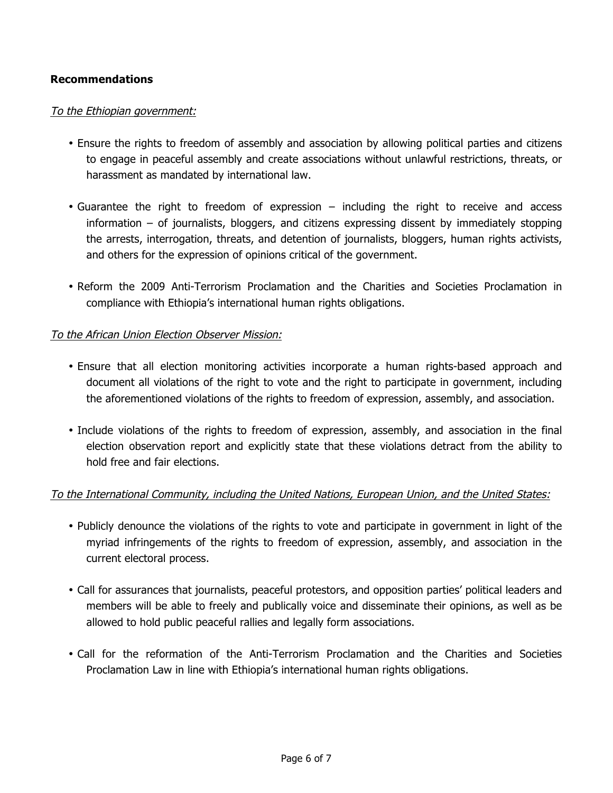#### **Recommendations**

#### To the Ethiopian government:

- Ensure the rights to freedom of assembly and association by allowing political parties and citizens to engage in peaceful assembly and create associations without unlawful restrictions, threats, or harassment as mandated by international law.
- Guarantee the right to freedom of expression including the right to receive and access information – of journalists, bloggers, and citizens expressing dissent by immediately stopping the arrests, interrogation, threats, and detention of journalists, bloggers, human rights activists, and others for the expression of opinions critical of the government.
- Reform the 2009 Anti-Terrorism Proclamation and the Charities and Societies Proclamation in compliance with Ethiopia's international human rights obligations.

#### To the African Union Election Observer Mission:

- Ensure that all election monitoring activities incorporate a human rights-based approach and document all violations of the right to vote and the right to participate in government, including the aforementioned violations of the rights to freedom of expression, assembly, and association.
- Include violations of the rights to freedom of expression, assembly, and association in the final election observation report and explicitly state that these violations detract from the ability to hold free and fair elections.

## To the International Community, including the United Nations, European Union, and the United States:

- Publicly denounce the violations of the rights to vote and participate in government in light of the myriad infringements of the rights to freedom of expression, assembly, and association in the current electoral process.
- Call for assurances that journalists, peaceful protestors, and opposition parties' political leaders and members will be able to freely and publically voice and disseminate their opinions, as well as be allowed to hold public peaceful rallies and legally form associations.
- Call for the reformation of the Anti-Terrorism Proclamation and the Charities and Societies Proclamation Law in line with Ethiopia's international human rights obligations.